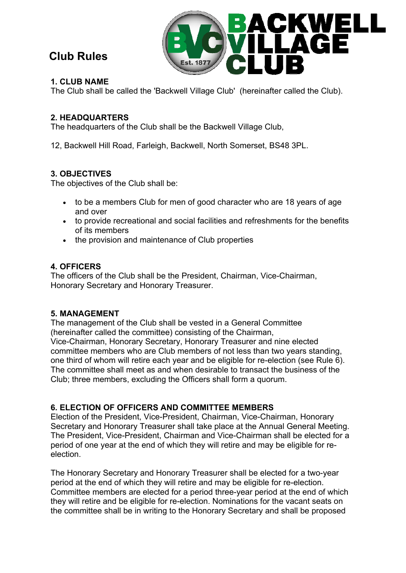# **Club Rules**



# **1. CLUB NAME**

The Club shall be called the 'Backwell Village Club' (hereinafter called the Club).

# **2. HEADQUARTERS**

The headquarters of the Club shall be the Backwell Village Club,

12, Backwell Hill Road, Farleigh, Backwell, North Somerset, BS48 3PL.

# **3. OBJECTIVES**

The objectives of the Club shall be:

- to be a members Club for men of good character who are 18 years of age and over
- to provide recreational and social facilities and refreshments for the benefits of its members
- the provision and maintenance of Club properties

# **4. OFFICERS**

The officers of the Club shall be the President, Chairman, Vice-Chairman, Honorary Secretary and Honorary Treasurer.

## **5. MANAGEMENT**

The management of the Club shall be vested in a General Committee (hereinafter called the committee) consisting of the Chairman, Vice-Chairman, Honorary Secretary, Honorary Treasurer and nine elected committee members who are Club members of not less than two years standing, one third of whom will retire each year and be eligible for re-election (see Rule 6). The committee shall meet as and when desirable to transact the business of the Club; three members, excluding the Officers shall form a quorum.

# **6. ELECTION OF OFFICERS AND COMMITTEE MEMBERS**

Election of the President, Vice-President, Chairman, Vice-Chairman, Honorary Secretary and Honorary Treasurer shall take place at the Annual General Meeting. The President, Vice-President, Chairman and Vice-Chairman shall be elected for a period of one year at the end of which they will retire and may be eligible for reelection.

The Honorary Secretary and Honorary Treasurer shall be elected for a two-year period at the end of which they will retire and may be eligible for re-election. Committee members are elected for a period three-year period at the end of which they will retire and be eligible for re-election. Nominations for the vacant seats on the committee shall be in writing to the Honorary Secretary and shall be proposed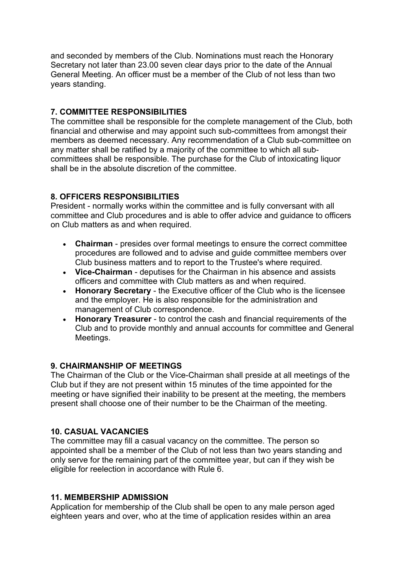and seconded by members of the Club. Nominations must reach the Honorary Secretary not later than 23.00 seven clear days prior to the date of the Annual General Meeting. An officer must be a member of the Club of not less than two years standing.

# **7. COMMITTEE RESPONSIBILITIES**

The committee shall be responsible for the complete management of the Club, both financial and otherwise and may appoint such sub-committees from amongst their members as deemed necessary. Any recommendation of a Club sub-committee on any matter shall be ratified by a majority of the committee to which all subcommittees shall be responsible. The purchase for the Club of intoxicating liquor shall be in the absolute discretion of the committee.

## **8. OFFICERS RESPONSIBILITIES**

President - normally works within the committee and is fully conversant with all committee and Club procedures and is able to offer advice and guidance to officers on Club matters as and when required.

- **Chairman**  presides over formal meetings to ensure the correct committee procedures are followed and to advise and guide committee members over Club business matters and to report to the Trustee's where required.
- **Vice-Chairman** deputises for the Chairman in his absence and assists officers and committee with Club matters as and when required.
- **Honorary Secretary** the Executive officer of the Club who is the licensee and the employer. He is also responsible for the administration and management of Club correspondence.
- **Honorary Treasurer** to control the cash and financial requirements of the Club and to provide monthly and annual accounts for committee and General Meetings.

## **9. CHAIRMANSHIP OF MEETINGS**

The Chairman of the Club or the Vice-Chairman shall preside at all meetings of the Club but if they are not present within 15 minutes of the time appointed for the meeting or have signified their inability to be present at the meeting, the members present shall choose one of their number to be the Chairman of the meeting.

## **10. CASUAL VACANCIES**

The committee may fill a casual vacancy on the committee. The person so appointed shall be a member of the Club of not less than two years standing and only serve for the remaining part of the committee year, but can if they wish be eligible for reelection in accordance with Rule 6.

## **11. MEMBERSHIP ADMISSION**

Application for membership of the Club shall be open to any male person aged eighteen years and over, who at the time of application resides within an area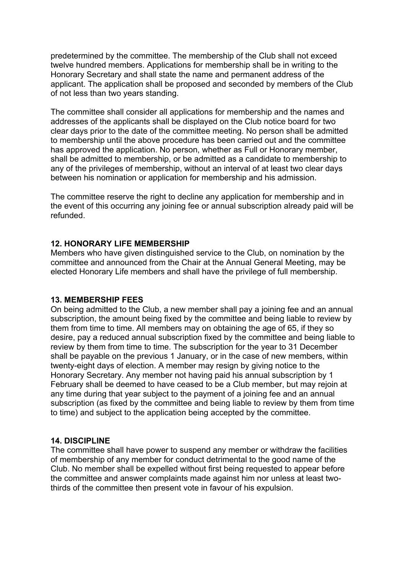predetermined by the committee. The membership of the Club shall not exceed twelve hundred members. Applications for membership shall be in writing to the Honorary Secretary and shall state the name and permanent address of the applicant. The application shall be proposed and seconded by members of the Club of not less than two years standing.

The committee shall consider all applications for membership and the names and addresses of the applicants shall be displayed on the Club notice board for two clear days prior to the date of the committee meeting. No person shall be admitted to membership until the above procedure has been carried out and the committee has approved the application. No person, whether as Full or Honorary member, shall be admitted to membership, or be admitted as a candidate to membership to any of the privileges of membership, without an interval of at least two clear days between his nomination or application for membership and his admission.

The committee reserve the right to decline any application for membership and in the event of this occurring any joining fee or annual subscription already paid will be refunded.

#### **12. HONORARY LIFE MEMBERSHIP**

Members who have given distinguished service to the Club, on nomination by the committee and announced from the Chair at the Annual General Meeting, may be elected Honorary Life members and shall have the privilege of full membership.

#### **13. MEMBERSHIP FEES**

On being admitted to the Club, a new member shall pay a joining fee and an annual subscription, the amount being fixed by the committee and being liable to review by them from time to time. All members may on obtaining the age of 65, if they so desire, pay a reduced annual subscription fixed by the committee and being liable to review by them from time to time. The subscription for the year to 31 December shall be payable on the previous 1 January, or in the case of new members, within twenty-eight days of election. A member may resign by giving notice to the Honorary Secretary. Any member not having paid his annual subscription by 1 February shall be deemed to have ceased to be a Club member, but may rejoin at any time during that year subject to the payment of a joining fee and an annual subscription (as fixed by the committee and being liable to review by them from time to time) and subject to the application being accepted by the committee.

#### **14. DISCIPLINE**

The committee shall have power to suspend any member or withdraw the facilities of membership of any member for conduct detrimental to the good name of the Club. No member shall be expelled without first being requested to appear before the committee and answer complaints made against him nor unless at least twothirds of the committee then present vote in favour of his expulsion.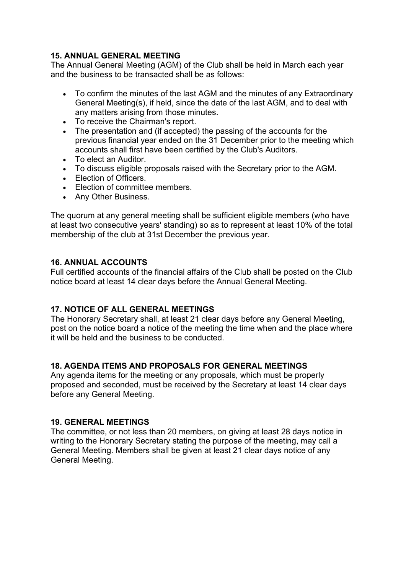# **15. ANNUAL GENERAL MEETING**

The Annual General Meeting (AGM) of the Club shall be held in March each year and the business to be transacted shall be as follows:

- To confirm the minutes of the last AGM and the minutes of any Extraordinary General Meeting(s), if held, since the date of the last AGM, and to deal with any matters arising from those minutes.
- To receive the Chairman's report.
- The presentation and (if accepted) the passing of the accounts for the previous financial year ended on the 31 December prior to the meeting which accounts shall first have been certified by the Club's Auditors.
- To elect an Auditor.
- To discuss eligible proposals raised with the Secretary prior to the AGM.
- **Election of Officers**
- Election of committee members.
- Any Other Business.

The quorum at any general meeting shall be sufficient eligible members (who have at least two consecutive years' standing) so as to represent at least 10% of the total membership of the club at 31st December the previous year.

### **16. ANNUAL ACCOUNTS**

Full certified accounts of the financial affairs of the Club shall be posted on the Club notice board at least 14 clear days before the Annual General Meeting.

#### **17. NOTICE OF ALL GENERAL MEETINGS**

The Honorary Secretary shall, at least 21 clear days before any General Meeting, post on the notice board a notice of the meeting the time when and the place where it will be held and the business to be conducted.

## **18. AGENDA ITEMS AND PROPOSALS FOR GENERAL MEETINGS**

Any agenda items for the meeting or any proposals, which must be properly proposed and seconded, must be received by the Secretary at least 14 clear days before any General Meeting.

#### **19. GENERAL MEETINGS**

The committee, or not less than 20 members, on giving at least 28 days notice in writing to the Honorary Secretary stating the purpose of the meeting, may call a General Meeting. Members shall be given at least 21 clear days notice of any General Meeting.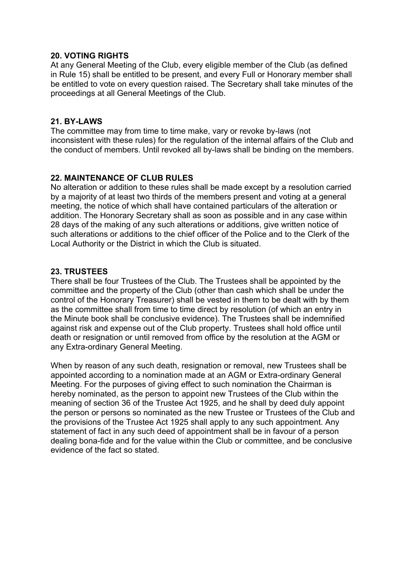### **20. VOTING RIGHTS**

At any General Meeting of the Club, every eligible member of the Club (as defined in Rule 15) shall be entitled to be present, and every Full or Honorary member shall be entitled to vote on every question raised. The Secretary shall take minutes of the proceedings at all General Meetings of the Club.

#### **21. BY-LAWS**

The committee may from time to time make, vary or revoke by-laws (not inconsistent with these rules) for the regulation of the internal affairs of the Club and the conduct of members. Until revoked all by-laws shall be binding on the members.

### **22. MAINTENANCE OF CLUB RULES**

No alteration or addition to these rules shall be made except by a resolution carried by a majority of at least two thirds of the members present and voting at a general meeting, the notice of which shall have contained particulars of the alteration or addition. The Honorary Secretary shall as soon as possible and in any case within 28 days of the making of any such alterations or additions, give written notice of such alterations or additions to the chief officer of the Police and to the Clerk of the Local Authority or the District in which the Club is situated.

### **23. TRUSTEES**

There shall be four Trustees of the Club. The Trustees shall be appointed by the committee and the property of the Club (other than cash which shall be under the control of the Honorary Treasurer) shall be vested in them to be dealt with by them as the committee shall from time to time direct by resolution (of which an entry in the Minute book shall be conclusive evidence). The Trustees shall be indemnified against risk and expense out of the Club property. Trustees shall hold office until death or resignation or until removed from office by the resolution at the AGM or any Extra-ordinary General Meeting.

When by reason of any such death, resignation or removal, new Trustees shall be appointed according to a nomination made at an AGM or Extra-ordinary General Meeting. For the purposes of giving effect to such nomination the Chairman is hereby nominated, as the person to appoint new Trustees of the Club within the meaning of section 36 of the Trustee Act 1925, and he shall by deed duly appoint the person or persons so nominated as the new Trustee or Trustees of the Club and the provisions of the Trustee Act 1925 shall apply to any such appointment. Any statement of fact in any such deed of appointment shall be in favour of a person dealing bona-fide and for the value within the Club or committee, and be conclusive evidence of the fact so stated.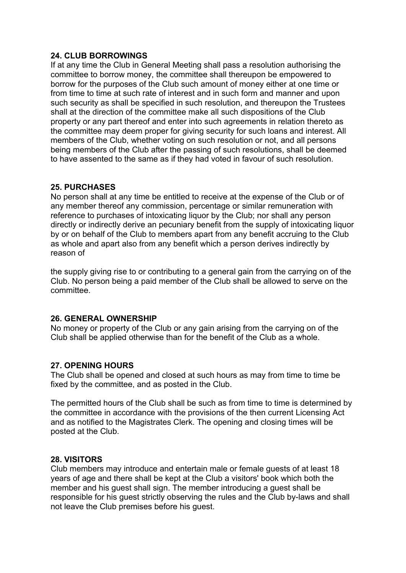### **24. CLUB BORROWINGS**

If at any time the Club in General Meeting shall pass a resolution authorising the committee to borrow money, the committee shall thereupon be empowered to borrow for the purposes of the Club such amount of money either at one time or from time to time at such rate of interest and in such form and manner and upon such security as shall be specified in such resolution, and thereupon the Trustees shall at the direction of the committee make all such dispositions of the Club property or any part thereof and enter into such agreements in relation thereto as the committee may deem proper for giving security for such loans and interest. All members of the Club, whether voting on such resolution or not, and all persons being members of the Club after the passing of such resolutions, shall be deemed to have assented to the same as if they had voted in favour of such resolution.

### **25. PURCHASES**

No person shall at any time be entitled to receive at the expense of the Club or of any member thereof any commission, percentage or similar remuneration with reference to purchases of intoxicating liquor by the Club; nor shall any person directly or indirectly derive an pecuniary benefit from the supply of intoxicating liquor by or on behalf of the Club to members apart from any benefit accruing to the Club as whole and apart also from any benefit which a person derives indirectly by reason of

the supply giving rise to or contributing to a general gain from the carrying on of the Club. No person being a paid member of the Club shall be allowed to serve on the committee.

## **26. GENERAL OWNERSHIP**

No money or property of the Club or any gain arising from the carrying on of the Club shall be applied otherwise than for the benefit of the Club as a whole.

## **27. OPENING HOURS**

The Club shall be opened and closed at such hours as may from time to time be fixed by the committee, and as posted in the Club.

The permitted hours of the Club shall be such as from time to time is determined by the committee in accordance with the provisions of the then current Licensing Act and as notified to the Magistrates Clerk. The opening and closing times will be posted at the Club.

#### **28. VISITORS**

Club members may introduce and entertain male or female guests of at least 18 years of age and there shall be kept at the Club a visitors' book which both the member and his guest shall sign. The member introducing a guest shall be responsible for his guest strictly observing the rules and the Club by-laws and shall not leave the Club premises before his guest.